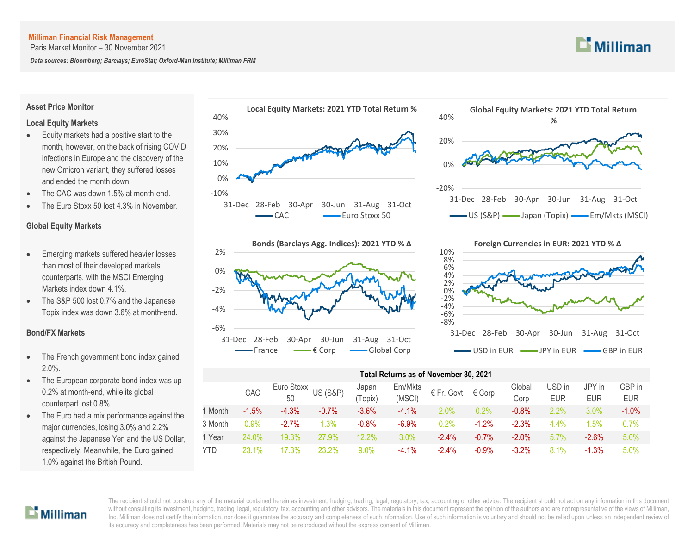Paris Market Monitor – 30 November 2021

*Data sources: Bloomberg; Barclays; EuroStat; Oxford-Man Institute; Milliman FRM*

## **Asset Price Monitor Local Equity Markets**

- Equity markets had a positive start to the month, however, on the back of rising COVID infections in Europe and the discovery of the new Omicron variant, they suffered losses and ended the month down.
- The CAC was down 1.5% at month-end.
- The Euro Stoxx 50 lost 4.3% in November.

### **Global Equity Markets**

- Emerging markets suffered heavier losses than most of their developed markets counterparts, with the MSCI Emerging Markets index down 4.1%.
- The S&P 500 lost 0.7% and the Japanese Topix index was down 3.6% at month-end.

### **Bond/FX Markets**

- The French government bond index gained 2.0%.
- The European corporate bond index was up 0.2% at month-end, while its global counterpart lost 0.8%.
- The Euro had a mix performance against the major currencies, losing 3.0% and 2.2% against the Japanese Yen and the US Dollar, respectively. Meanwhile, the Euro gained 1.0% against the British Pound.







#### -8% -6% -4% -2% 0% 2% 4% 6% 8% 10% 31-Dec 28-Feb 30-Apr 30-Jun 31-Aug 31-Oct **Foreign Currencies in EUR: 2021 YTD % ∆** - USD in EUR -- JPY in EUR - GBP in EUR

#### **Total Returns as of November 30, 2021**

|            | CAC     | $Euro Stoxx$ US (S&P)<br>50 |         | Japan<br>'Topix) | Em/Mkts<br>(MSCI) | € Fr. Govt | € Corp   | Global<br>Corp | USD in<br><b>EUR</b> | JPY in<br><b>EUR</b> | GBP in<br><b>EUR</b> |
|------------|---------|-----------------------------|---------|------------------|-------------------|------------|----------|----------------|----------------------|----------------------|----------------------|
| 1 Month    | $-1.5%$ | $-4.3%$                     | $-0.7%$ | $-3.6%$          | $-4.1\%$          | $2.0\%$    | 0.2%     | $-0.8\%$       | $2.2\%$              | $3.0\%$              | $-1.0%$              |
| 3 Month    | $0.9\%$ | $-2.7%$                     | 1.3%    | $-0.8%$          | $-6.9%$           | $0.2\%$    | $-1.2%$  | $-2.3%$        | 4.4%                 | 1.5%                 | 0.7%                 |
| 1 Year     | 24.0%   | 19.3%                       | 27.9%   | 12.2%            | 3.0%              | $-2.4%$    | $-0.7%$  | $-2.0\%$       | 5.7%                 | $-2.6%$              | 5.0%                 |
| <b>YTD</b> | 23.1%   | 7.3%                        | 23.2%   | 9.0%             | $-4.1\%$          | $-2.4\%$   | $-0.9\%$ | $-3.2%$        | 8.1%                 | $-1.3%$              | 5.0%                 |

# $\mathbf{L}$  Milliman

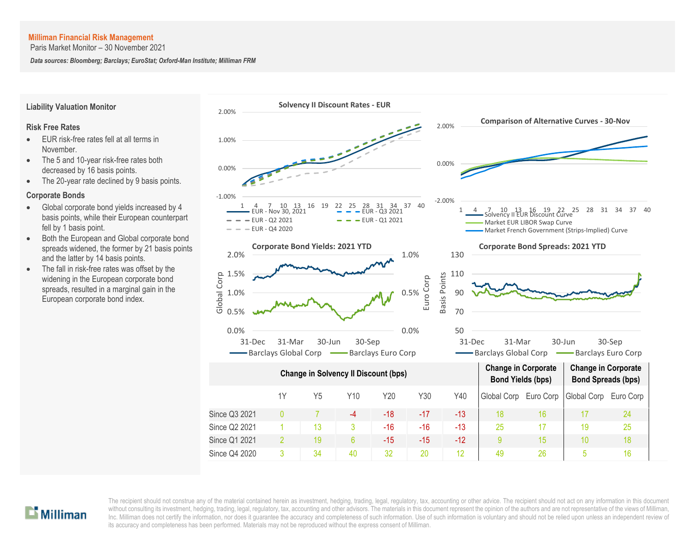Paris Market Monitor – 30 November 2021

*Data sources: Bloomberg; Barclays; EuroStat; Oxford-Man Institute; Milliman FRM*



## **Liability Valuation Monitor**

#### **Risk Free Rates**

- EUR risk-free rates fell at all terms in November.
- The 5 and 10-year risk-free rates both decreased by 16 basis points.
- The 20-year rate declined by 9 basis points.

#### **Corporate Bonds**

- Global corporate bond yields increased by 4 basis points, while their European counterpart fell by 1 basis point.
- Both the European and Global corporate bond spreads widened, the former by 21 basis points and the latter by 14 basis points.
- The fall in risk-free rates was offset by the widening in the European corporate bond spreads, resulted in a marginal gain in the European corporate bond index.

# $\mathbf{L}$  Milliman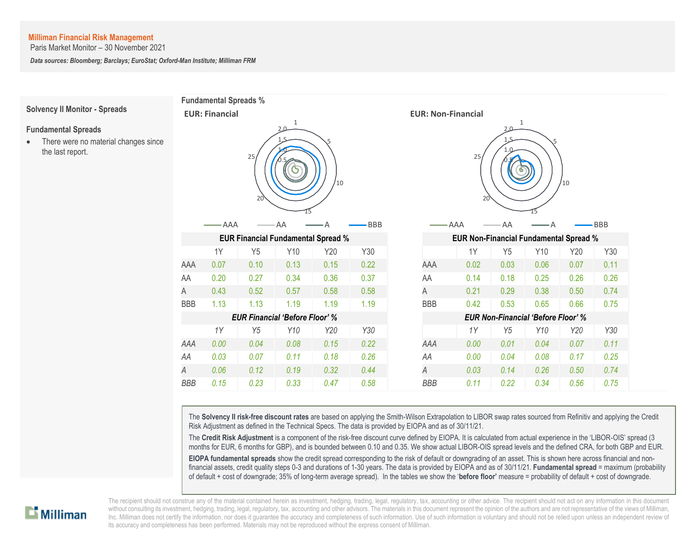Paris Market Monitor – 30 November 2021

*Data sources: Bloomberg; Barclays; EuroStat; Oxford-Man Institute; Milliman FRM*



The **Solvency II risk-free discount rates** are based on applying the Smith-Wilson Extrapolation to LIBOR swap rates sourced from Refinitiv and applying the Credit Risk Adjustment as defined in the Technical Specs. The data is provided by EIOPA and as of 30/11/21.

The **Credit Risk Adjustment** is a component of the risk-free discount curve defined by EIOPA. It is calculated from actual experience in the 'LIBOR-OIS' spread (3 months for EUR, 6 months for GBP), and is bounded between 0.10 and 0.35. We show actual LIBOR-OIS spread levels and the defined CRA, for both GBP and EUR.

**EIOPA fundamental spreads** show the credit spread corresponding to the risk of default or downgrading of an asset. This is shown here across financial and nonfinancial assets, credit quality steps 0-3 and durations of 1-30 years. The data is provided by EIOPA and as of 30/11/21. **Fundamental spread** = maximum (probability of default + cost of downgrade; 35% of long-term average spread). In the tables we show the '**before floor'** measure = probability of default + cost of downgrade.

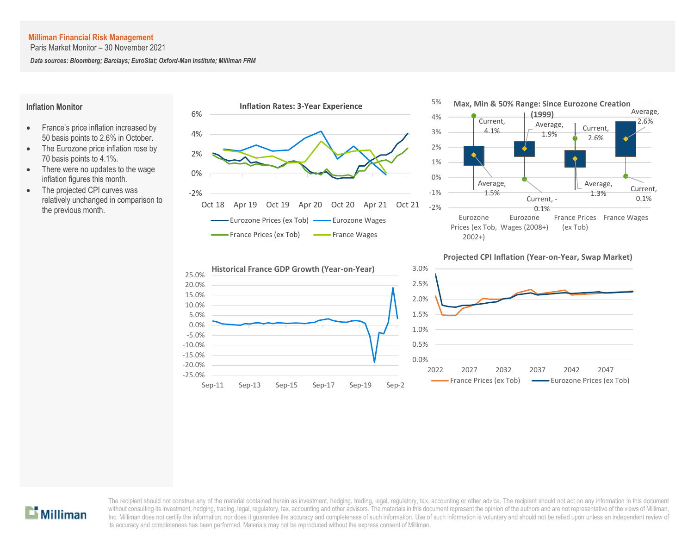Paris Market Monitor – 30 November 2021

*Data sources: Bloomberg; Barclays; EuroStat; Oxford-Man Institute; Milliman FRM*

#### **Inflation Monitor**

- France's price inflation increased by 50 basis points to 2.6% in October.
- The Eurozone price inflation rose by 70 basis points to 4.1%.
- There were no updates to the wage inflation figures this month.
- The projected CPI curves was relatively unchanged in comparison to the previous month.







#### **Projected CPI Inflation (Year-on-Year, Swap Market)**



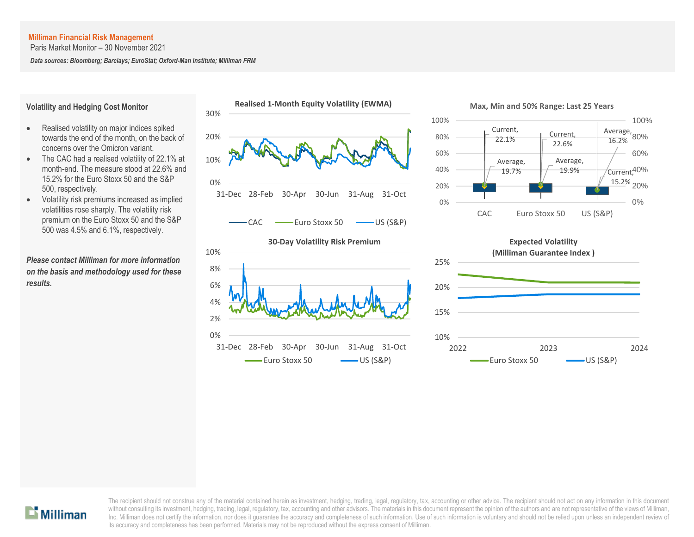Paris Market Monitor – 30 November 2021

*Data sources: Bloomberg; Barclays; EuroStat; Oxford-Man Institute; Milliman FRM*

#### **Volatility and Hedging Cost Monitor**

- Realised volatility on major indices spiked towards the end of the month, on the back of concerns over the Omicron variant.
- The CAC had a realised volatility of 22.1% at month-end. The measure stood at 22.6% and 15.2% for the Euro Stoxx 50 and the S&P 500, respectively.
- Volatility risk premiums increased as implied volatilities rose sharply. The volatility risk premium on the Euro Stoxx 50 and the S&P 500 was 4.5% and 6.1%, respectively.

*Please contact Milliman for more information on the basis and methodology used for these results.*